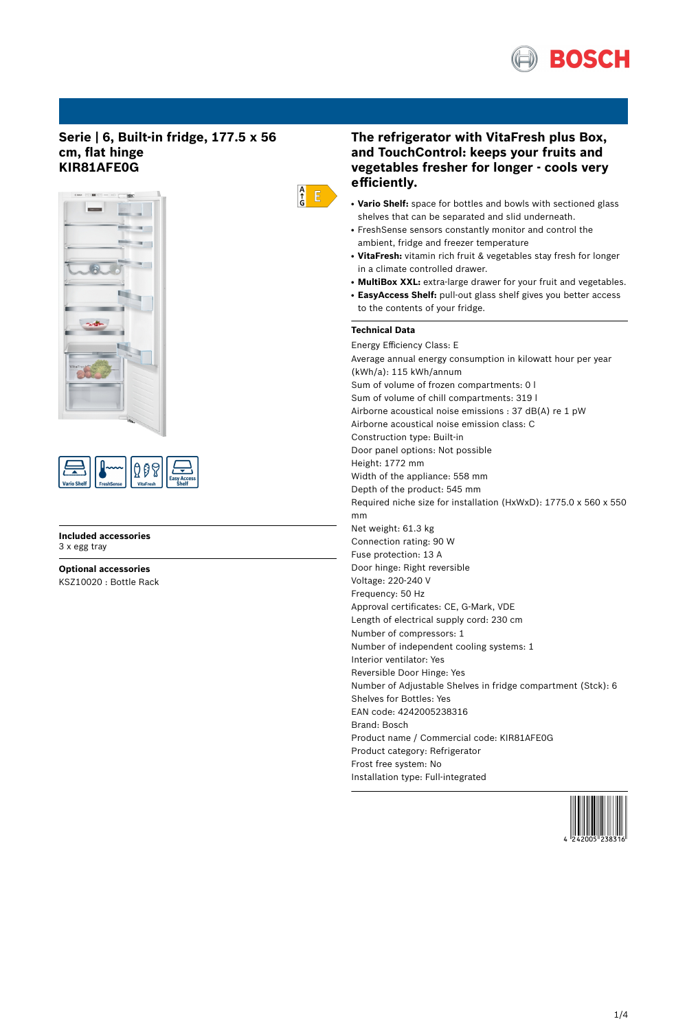

# **Serie | 6, Built-in fridge, 177.5 x 56 cm, flat hinge KIR81AFE0G**



| <b>Vario Shelf</b><br><b>FreshSense</b> | <b>VitaFresh</b> | ccess |
|-----------------------------------------|------------------|-------|
|-----------------------------------------|------------------|-------|

**Included accessories** 3 x egg tray

**Optional accessories** KSZ10020 : Bottle Rack

# **The refrigerator with VitaFresh plus Box, and TouchControl: keeps your fruits and vegetables fresher for longer - cools very efficiently.**

- Vario Shelf: space for bottles and bowls with sectioned glass shelves that can be separated and slid underneath.
- FreshSense sensors constantly monitor and control the ambient, fridge and freezer temperature
- VitaFresh: vitamin rich fruit & vegetables stay fresh for longer in a climate controlled drawer.
- **MultiBox XXL:** extra-large drawer for your fruit and vegetables.
- EasyAccess Shelf: pull-out glass shelf gives you better access to the contents of your fridge.

# **Technical Data**

 $\frac{A}{G}$   $\overline{E}$ 

Energy Efficiency Class: E Average annual energy consumption in kilowatt hour per year (kWh/a): 115 kWh/annum Sum of volume of frozen compartments: 0 l Sum of volume of chill compartments: 319 l Airborne acoustical noise emissions : 37 dB(A) re 1 pW Airborne acoustical noise emission class: C Construction type: Built-in Door panel options: Not possible Height: 1772 mm Width of the appliance: 558 mm Depth of the product: 545 mm Required niche size for installation (HxWxD): 1775.0 x 560 x 550 mm Net weight: 61.3 kg Connection rating: 90 W Fuse protection: 13 A Door hinge: Right reversible Voltage: 220-240 V Frequency: 50 Hz Approval certificates: CE, G-Mark, VDE Length of electrical supply cord: 230 cm Number of compressors: 1 Number of independent cooling systems: 1 Interior ventilator: Yes Reversible Door Hinge: Yes Number of Adjustable Shelves in fridge compartment (Stck): 6 Shelves for Bottles: Yes EAN code: 4242005238316 Brand: Bosch Product name / Commercial code: KIR81AFE0G Product category: Refrigerator Frost free system: No Installation type: Full-integrated

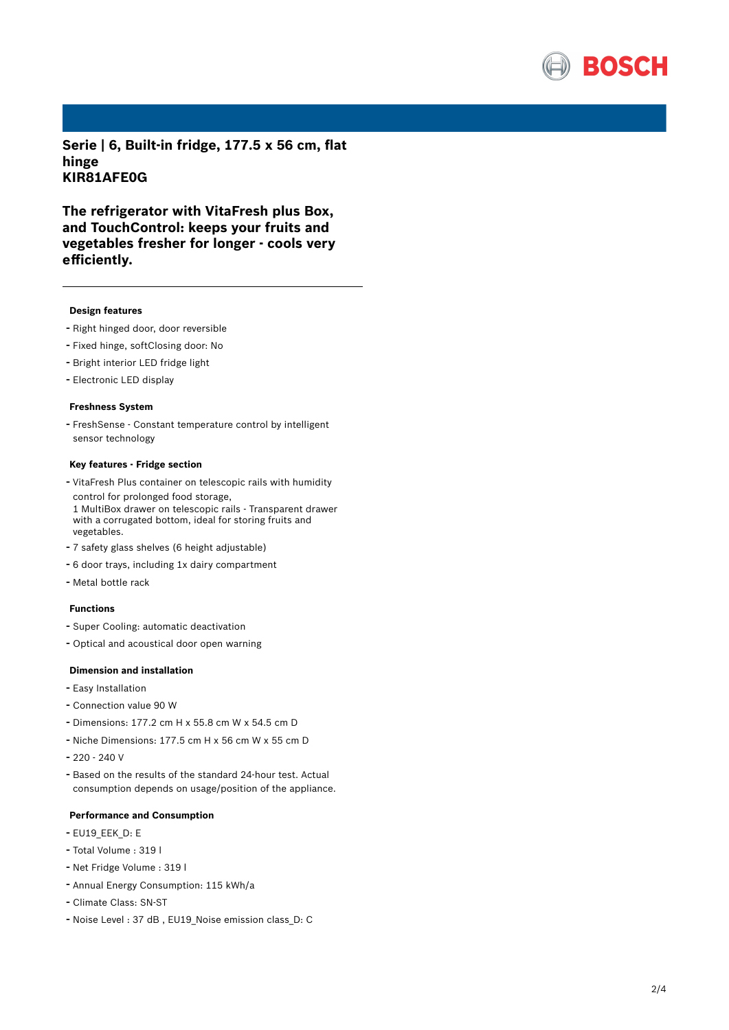

**Serie | 6, Built-in fridge, 177.5 x 56 cm, flat hinge KIR81AFE0G**

**The refrigerator with VitaFresh plus Box, and TouchControl: keeps your fruits and vegetables fresher for longer - cools very efficiently.**

### **Design features**

- Right hinged door, door reversible
- Fixed hinge, softClosing door: No
- Bright interior LED fridge light
- Electronic LED display

## **Freshness System**

- FreshSense - Constant temperature control by intelligent sensor technology

#### **Key features - Fridge section**

- VitaFresh Plus container on telescopic rails with humidity control for prolonged food storage, 1 MultiBox drawer on telescopic rails - Transparent drawer with a corrugated bottom, ideal for storing fruits and vegetables.
- <sup>7</sup> safety glass shelves (6 height adjustable)
- <sup>6</sup> door trays, including 1x dairy compartment
- Metal bottle rack

## **Functions**

- Super Cooling: automatic deactivation
- Optical and acoustical door open warning

## **Dimension and installation**

- Easy Installation
- Connection value <sup>90</sup> <sup>W</sup>
- Dimensions: 177.2 cm H x 55.8 cm W x 54.5 cm D
- Niche Dimensions: 177.5 cm <sup>H</sup> <sup>x</sup> <sup>56</sup> cm <sup>W</sup> <sup>x</sup> <sup>55</sup> cm <sup>D</sup>
- 220 240 V
- Based on the results of the standard 24-hour test. Actual consumption depends on usage/position of the appliance.

#### **Performance and Consumption**

- EU19\_EEK\_D: E
- Total Volume : <sup>319</sup> <sup>l</sup>
- Net Fridge Volume : <sup>319</sup> <sup>l</sup>
- Annual Energy Consumption: <sup>115</sup> kWh/a
- Climate Class: SN-ST
- Noise Level : <sup>37</sup> dB , EU19\_Noise emission class\_D: <sup>C</sup>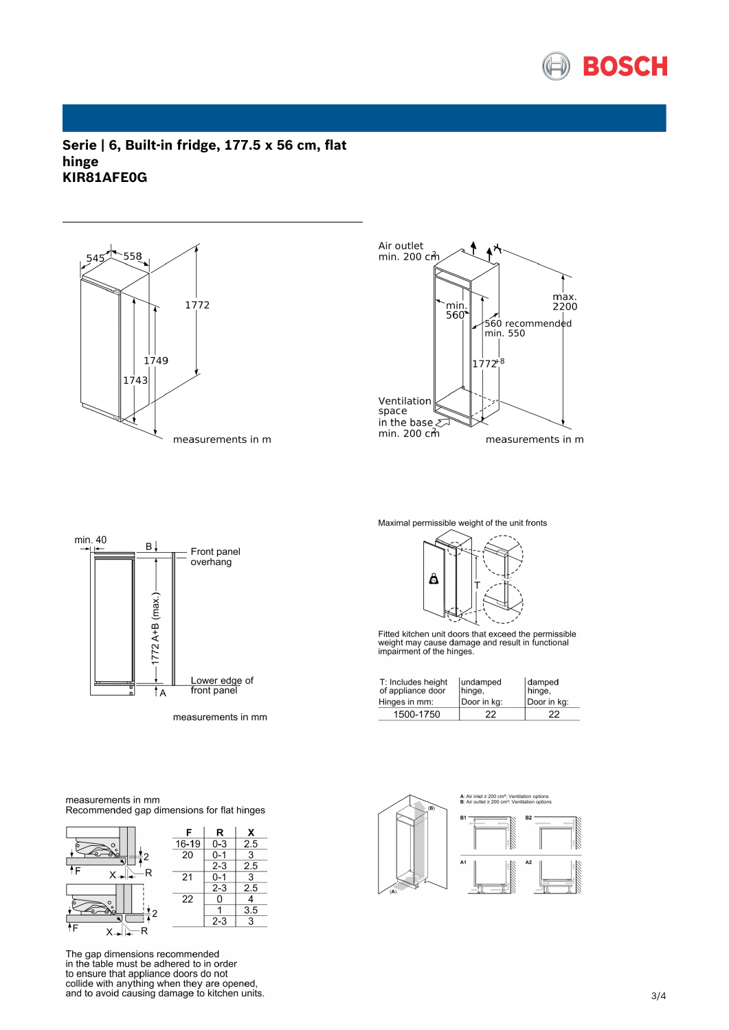

**Serie | 6, Built-in fridge, 177.5 x 56 cm, flat hinge KIR81AFE0G**





min. 40 B. Front panel overhang  $1772$  A+B (max.) Lower edge of<br>front panel  $\overline{A}$ 

measurements in mm

Maximal permissible weight of the unit fronts



Fitted kitchen unit doors that exceed the permissible<br>weight may cause damage and result in functional<br>impairment of the hinges.

| T: Includes height<br>of appliance door<br>Hinges in mm: | lundamped<br>hinge,<br>Door in kg: | damped<br>hinge,<br>Door in kg: |
|----------------------------------------------------------|------------------------------------|---------------------------------|
| 1500-1750                                                | 22                                 | 22                              |



measurements in mm Recommended gap dimensions for flat hinges



The gap dimensions recommended in the table must be adhered to in order the ensure that appliance doors do not<br>collide with anything when they are opened,<br>and to avoid causing damage to kitchen units.